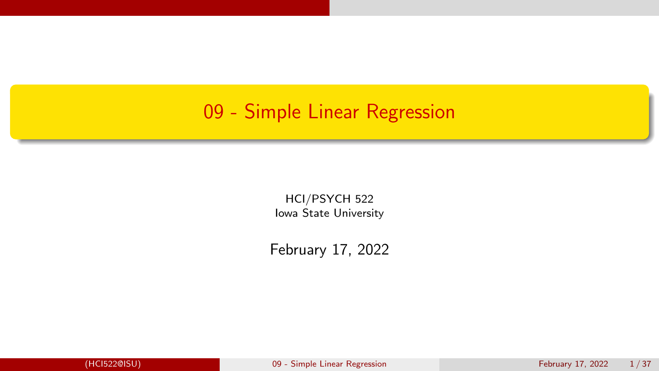#### <span id="page-0-0"></span>09 - Simple Linear Regression

HCI/PSYCH 522 Iowa State University

February 17, 2022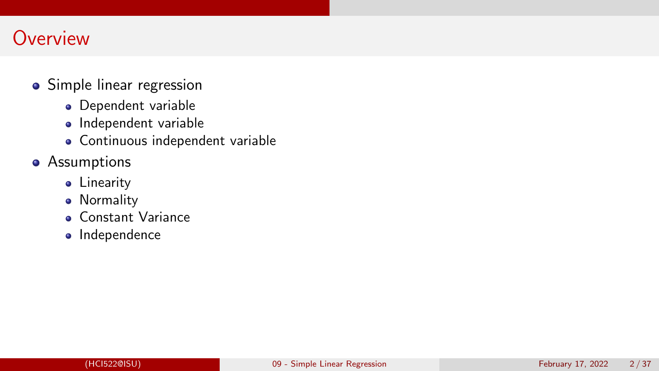## **Overview**

- Simple linear regression
	- **·** Dependent variable
	- Independent variable
	- Continuous independent variable
- **•** Assumptions
	- **•** Linearity
	- **•** Normality
	- Constant Variance
	- Independence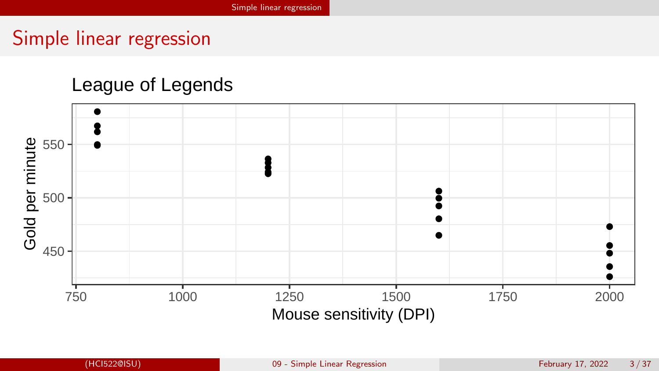## <span id="page-2-0"></span>Simple linear regression

#### League of Legends

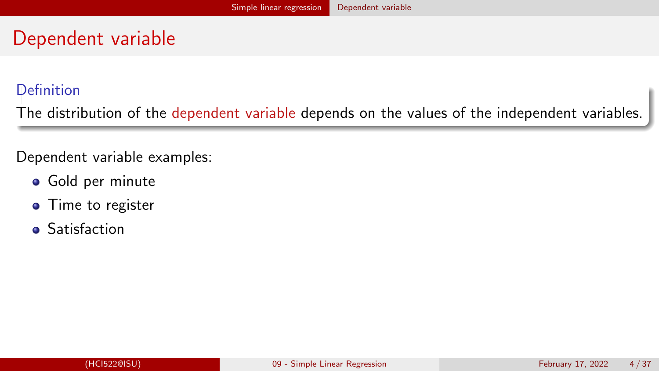## <span id="page-3-0"></span>Dependent variable

#### Definition

The distribution of the dependent variable depends on the values of the independent variables.

Dependent variable examples:

- **•** Gold per minute
- Time to register
- **•** Satisfaction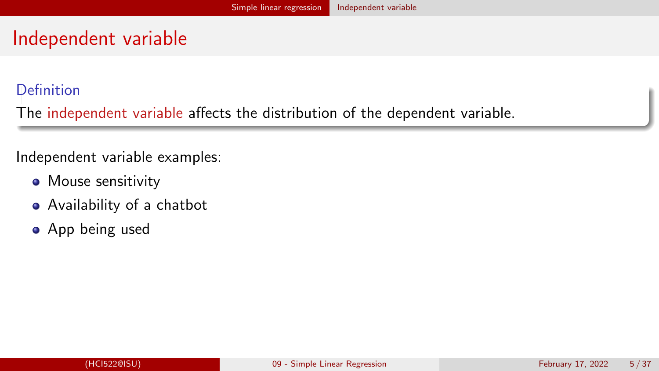## <span id="page-4-0"></span>Independent variable

#### Definition

The independent variable affects the distribution of the dependent variable.

#### Independent variable examples:

- Mouse sensitivity
- Availability of a chatbot
- App being used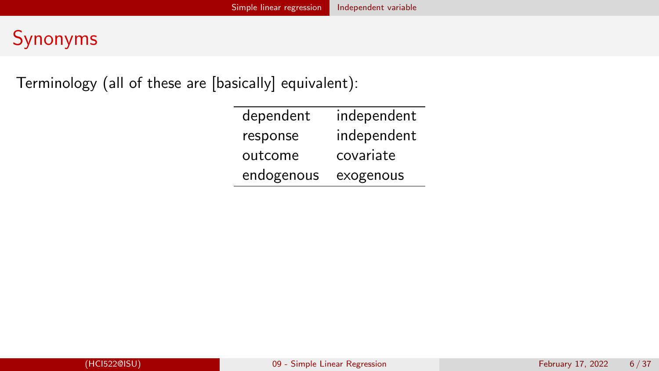## Synonyms

Terminology (all of these are [basically] equivalent):

| dependent  | independent |  |
|------------|-------------|--|
| response   | independent |  |
| outcome    | covariate   |  |
| endogenous | exogenous   |  |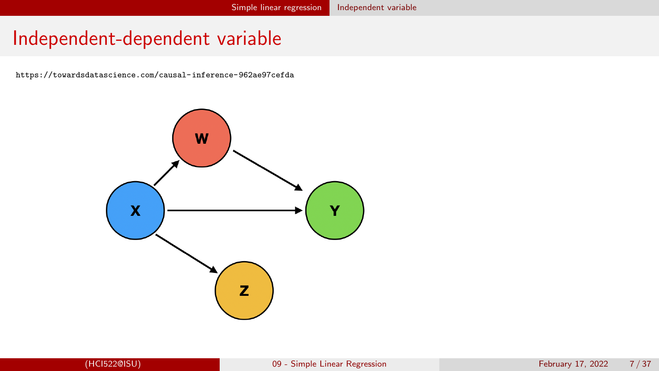#### Independent-dependent variable

<https://towardsdatascience.com/causal-inference-962ae97cefda>

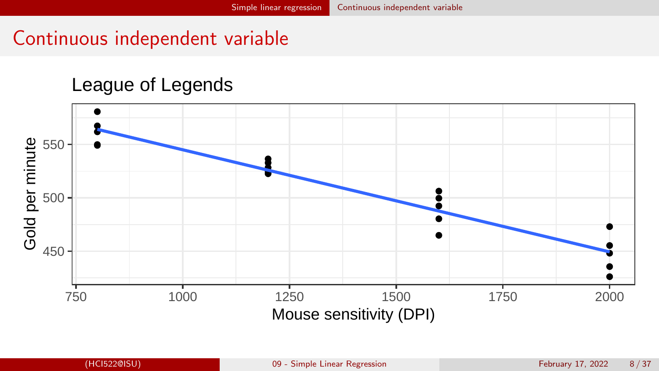## <span id="page-7-0"></span>Continuous independent variable

#### League of Legends

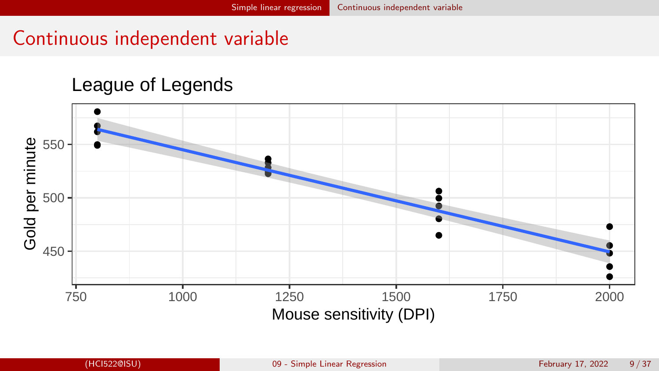## Continuous independent variable

#### League of Legends

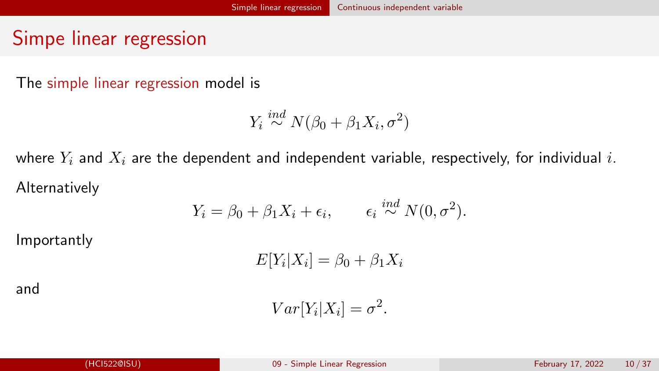## Simpe linear regression

The simple linear regression model is

$$
Y_i \stackrel{ind}{\sim} N(\beta_0 + \beta_1 X_i, \sigma^2)
$$

where  $Y_i$  and  $X_i$  are the dependent and independent variable, respectively, for individual i. Alternatively

$$
Y_i = \beta_0 + \beta_1 X_i + \epsilon_i, \qquad \epsilon_i \stackrel{ind}{\sim} N(0, \sigma^2).
$$

Importantly

$$
E[Y_i|X_i] = \beta_0 + \beta_1 X_i
$$

and

$$
Var[Y_i|X_i] = \sigma^2.
$$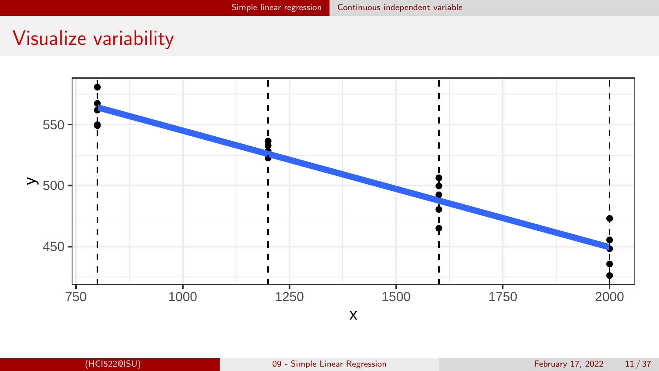## Visualize variability

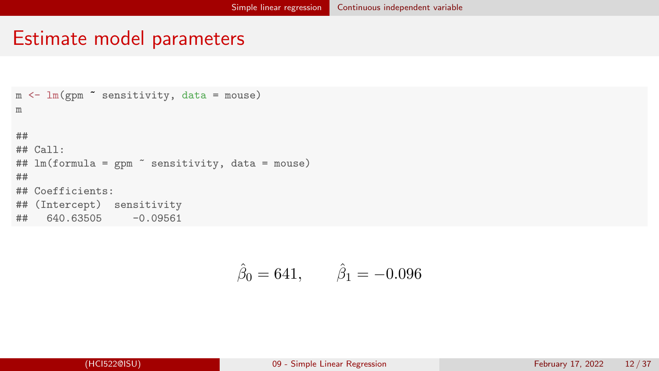#### Estimate model parameters

```
m \leftarrow \text{lm(gpm} sensitivity, data = mouse)
m
##
## Call:
## lm(formula = gpm " sensitivity, data = mouse)
##
## Coefficients:
## (Intercept) sensitivity
## 640.63505 -0.09561
```

$$
\hat{\beta}_0 = 641, \qquad \hat{\beta}_1 = -0.096
$$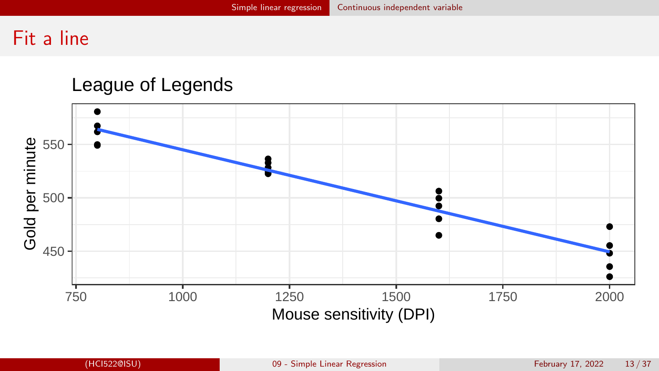## Fit a line

#### League of Legends

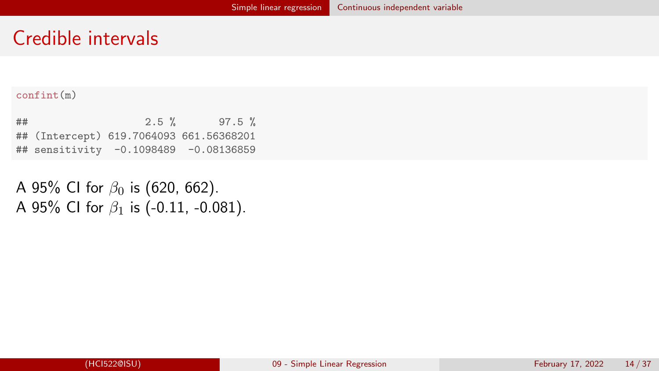#### Credible intervals

#### confint(m)

| ## | $2.5 \%$ | $97.5 \%$                               |
|----|----------|-----------------------------------------|
|    |          | ## (Intercept) 619.7064093 661.56368201 |
|    |          | ## sensitivity -0.1098489 -0.08136859   |

A 95% CI for  $\beta_0$  is (620, 662). A 95% CI for  $\beta_1$  is (-0.11, -0.081).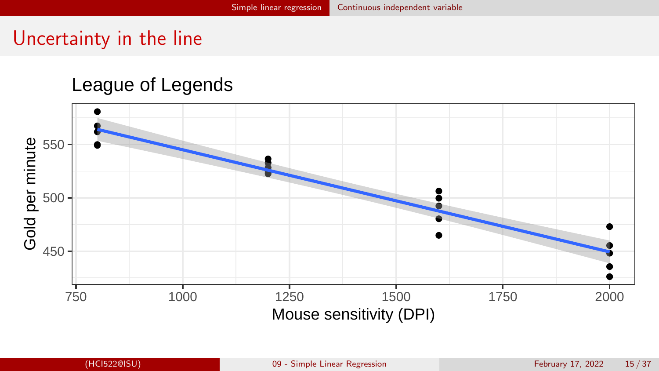## Uncertainty in the line

#### League of Legends

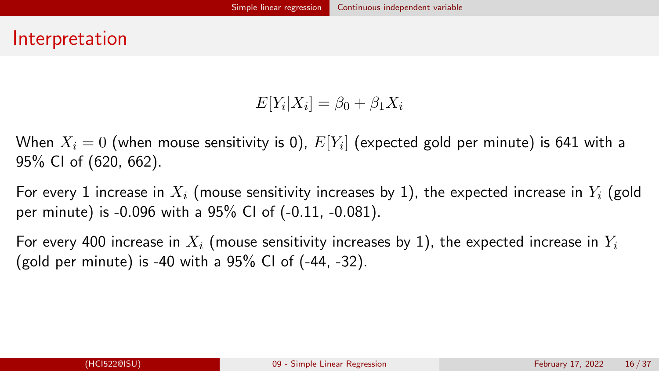#### Interpretation

$$
E[Y_i|X_i] = \beta_0 + \beta_1 X_i
$$

When  $X_i=0$  (when mouse sensitivity is 0),  $E[Y_i]$  (expected gold per minute) is 641 with a 95% CI of (620, 662).

For every 1 increase in  $X_i$  (mouse sensitivity increases by 1), the expected increase in  $Y_i$  (gold per minute) is -0.096 with a 95% CI of (-0.11, -0.081).

For every 400 increase in  $X_i$  (mouse sensitivity increases by 1), the expected increase in  $Y_i$ (gold per minute) is -40 with a  $95\%$  CI of  $(-44, -32)$ .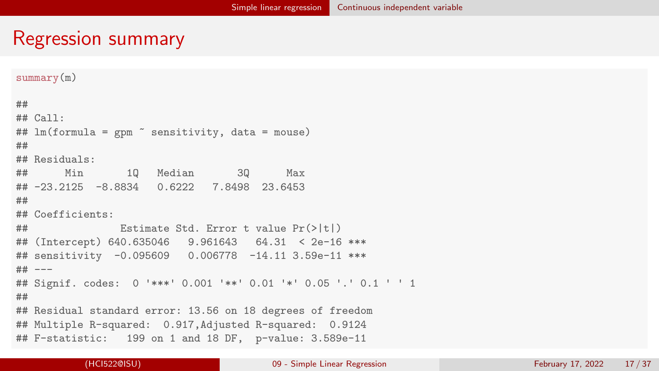#### Regression summary

```
summary(m)
##
## Call:
## lm(formula = gpm \tilde{ } sensitivity, data = mouse)
##
## Residuals:
## Min 1Q Median 3Q Max
## -23.2125 -8.8834 0.6222 7.8498 23.6453
##
## Coefficients:
## Estimate Std. Error t value Pr(>|t|)
## (Intercept) 640.635046 9.961643 64.31 < 2e-16 ***
## sensitivity -0.095609 0.006778 -14.11 3.59e-11 ***
## ---
## Signif. codes: 0 '***' 0.001 '**' 0.01 '*' 0.05 '.' 0.1 ' ' 1
##
## Residual standard error: 13.56 on 18 degrees of freedom
## Multiple R-squared: 0.917,Adjusted R-squared: 0.9124
## F-statistic: 199 on 1 and 18 DF, p-value: 3.589e-11
```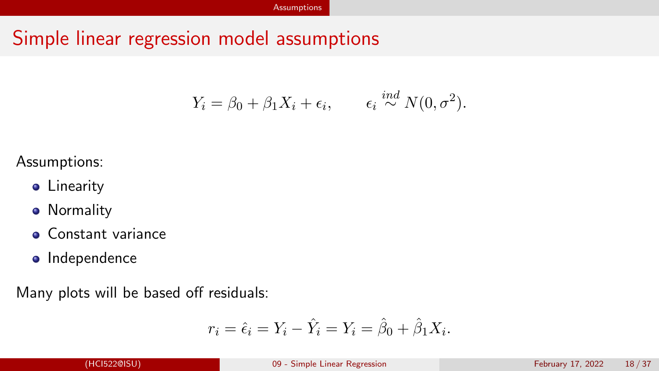## <span id="page-17-0"></span>Simple linear regression model assumptions

$$
Y_i = \beta_0 + \beta_1 X_i + \epsilon_i, \qquad \epsilon_i \stackrel{ind}{\sim} N(0, \sigma^2).
$$

#### Assumptions:

- **•** Linearity
- **•** Normality
- **Constant variance**
- Independence

Many plots will be based off residuals:

$$
r_i = \hat{\epsilon}_i = Y_i - \hat{Y}_i = Y_i = \hat{\beta}_0 + \hat{\beta}_1 X_i.
$$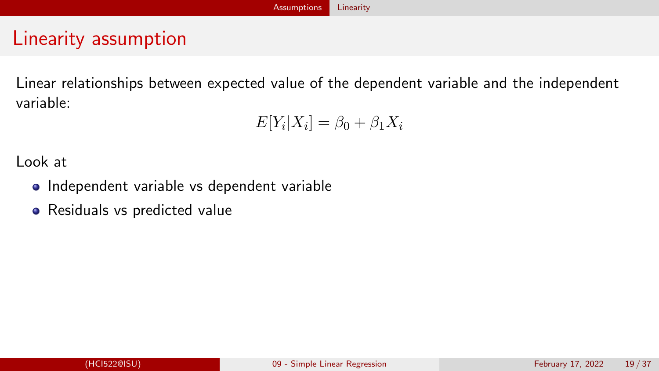# <span id="page-18-0"></span>Linearity assumption

Linear relationships between expected value of the dependent variable and the independent variable:

$$
E[Y_i|X_i] = \beta_0 + \beta_1 X_i
$$

Look at

- Independent variable vs dependent variable
- Residuals vs predicted value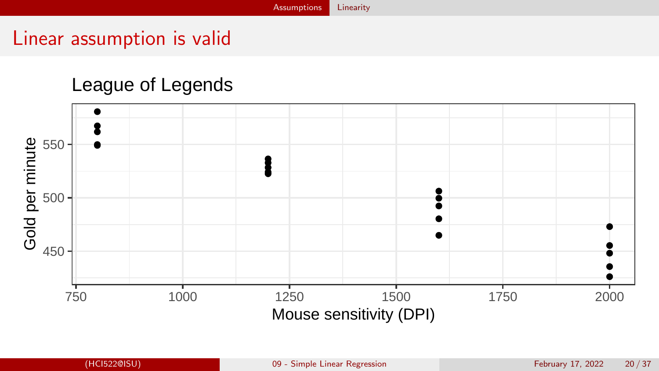#### Linear assumption is valid

#### League of Legends

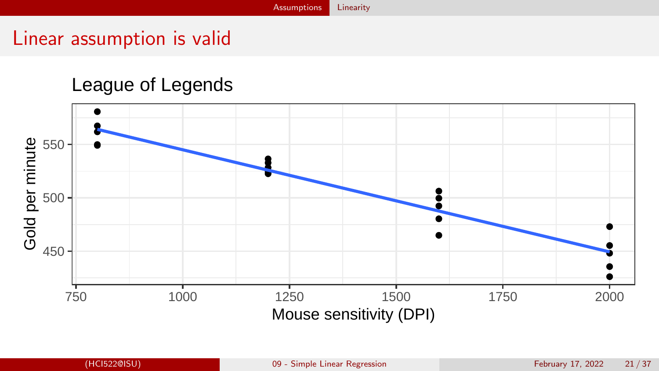#### Linear assumption is valid

#### League of Legends

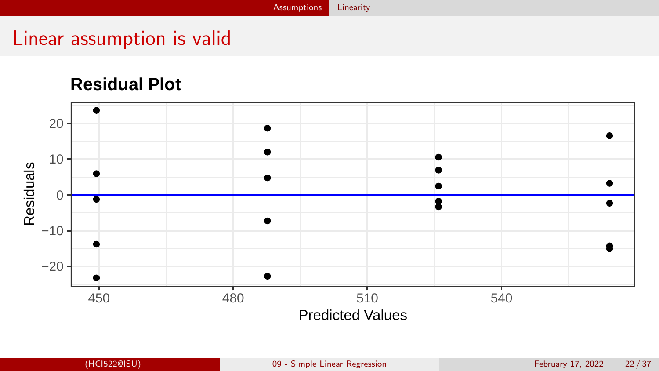## Linear assumption is valid

#### **Residual Plot**

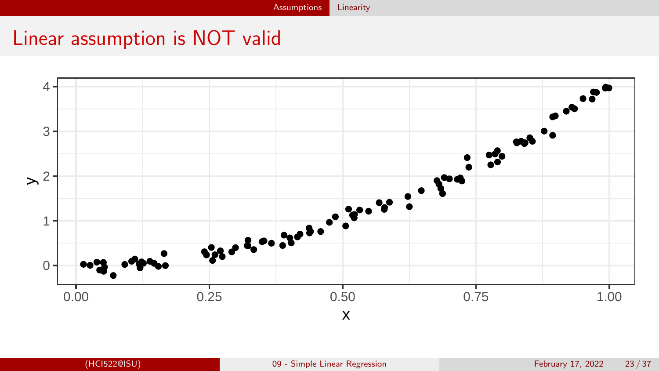# Linear assumption is NOT valid

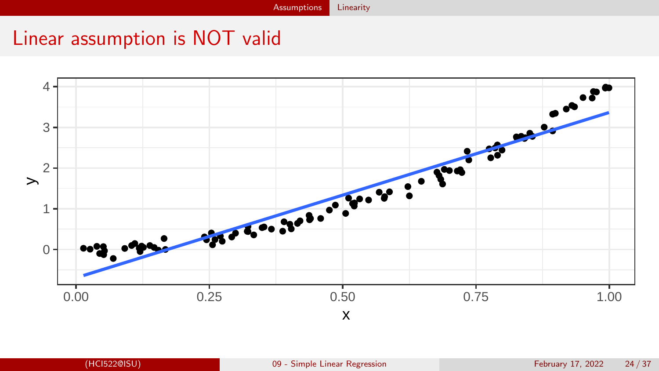# Linear assumption is NOT valid

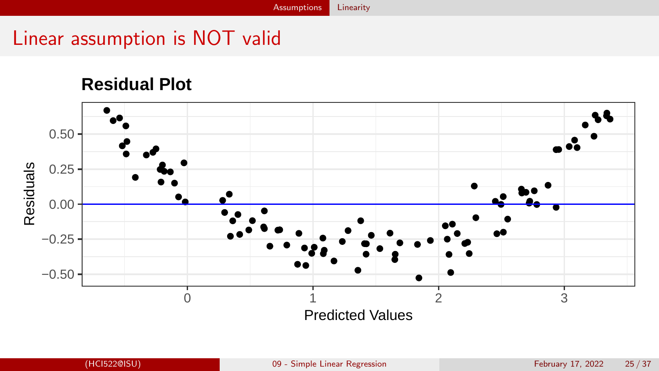# Linear assumption is NOT valid

**Residual Plot**

# 0.50 Residuals  $0.25 -$ Residuals 0.00 −0.25 −0.50 0 1 2 3 Predicted Values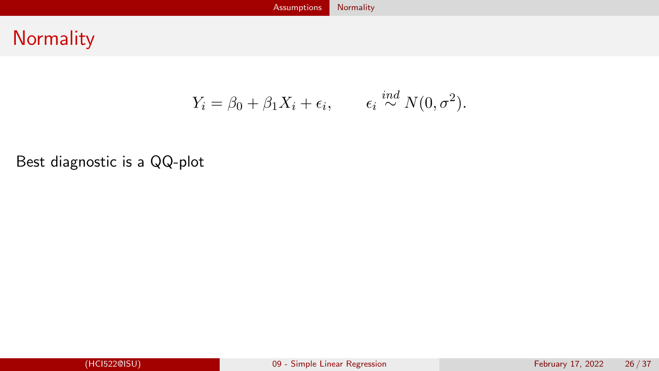### <span id="page-25-0"></span>**Normality**

$$
Y_i = \beta_0 + \beta_1 X_i + \epsilon_i, \qquad \epsilon_i \stackrel{ind}{\sim} N(0, \sigma^2).
$$

#### Best diagnostic is a QQ-plot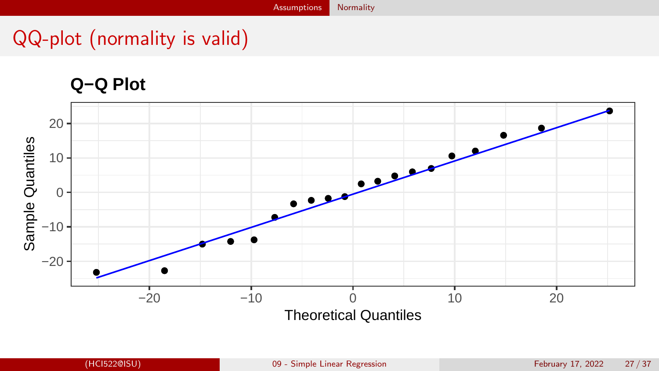# QQ-plot (normality is valid)

#### **Q−Q Plot**

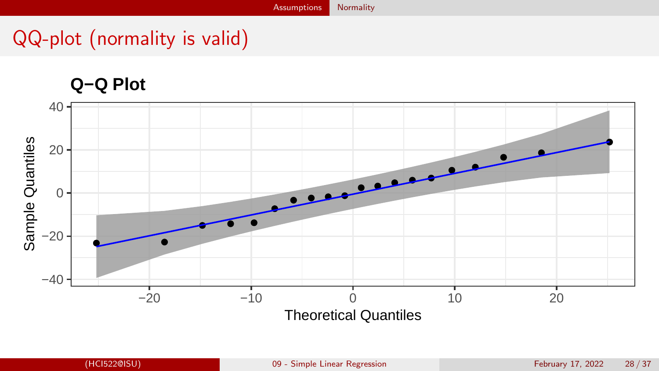# QQ-plot (normality is valid)

**Q−Q Plot**

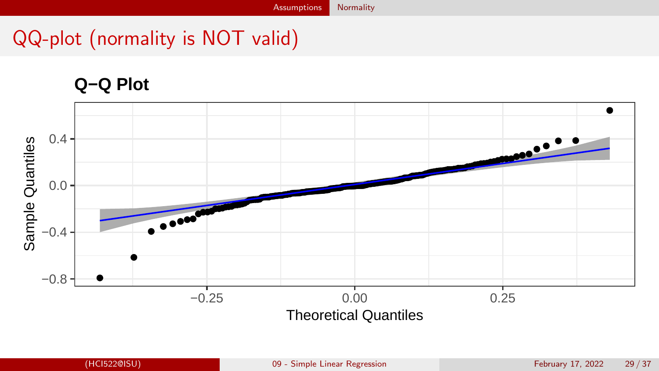# QQ-plot (normality is NOT valid)

#### **Q−Q Plot**

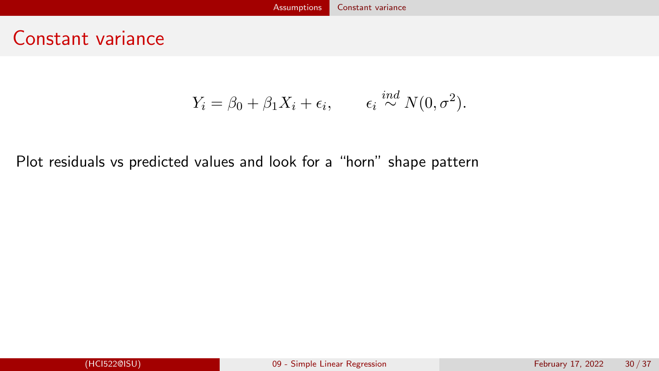#### <span id="page-29-0"></span>Constant variance

$$
Y_i = \beta_0 + \beta_1 X_i + \epsilon_i, \qquad \epsilon_i \stackrel{ind}{\sim} N(0, \sigma^2).
$$

Plot residuals vs predicted values and look for a "horn" shape pattern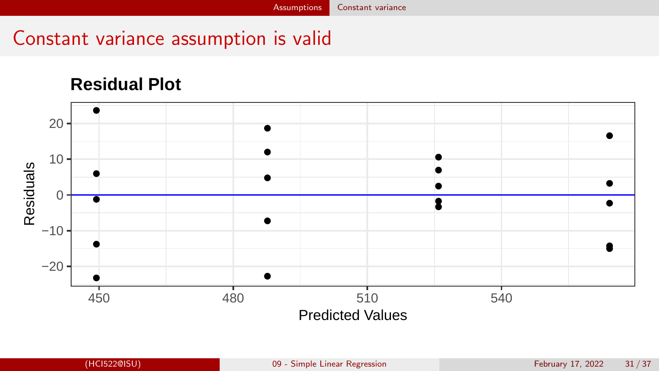## Constant variance assumption is valid

#### **Residual Plot**

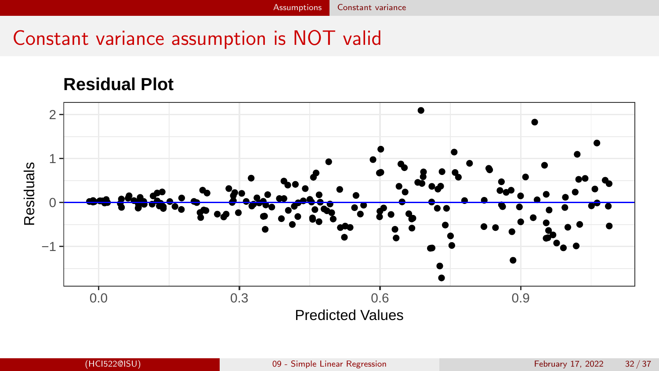# Constant variance assumption is NOT valid

#### **Residual Plot**

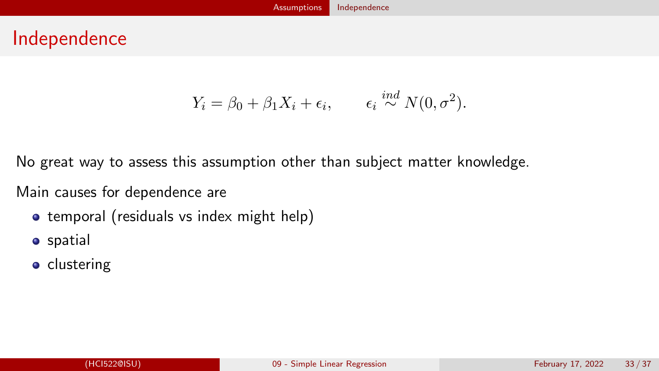#### <span id="page-32-0"></span>Independence

$$
Y_i = \beta_0 + \beta_1 X_i + \epsilon_i, \qquad \epsilon_i \stackrel{ind}{\sim} N(0, \sigma^2).
$$

No great way to assess this assumption other than subject matter knowledge.

Main causes for dependence are

- temporal (residuals vs index might help)
- **o** spatial
- **o** clustering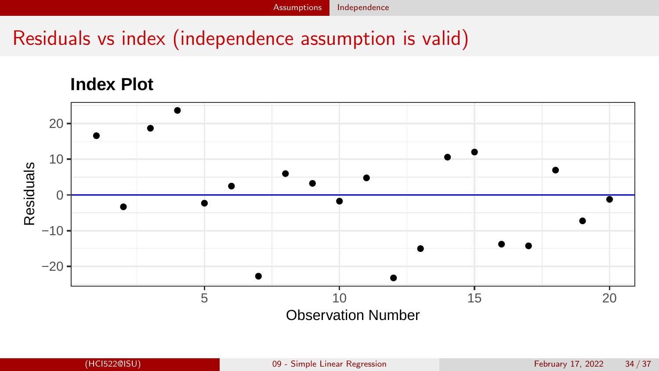# Residuals vs index (independence assumption is valid)

#### **Index Plot**

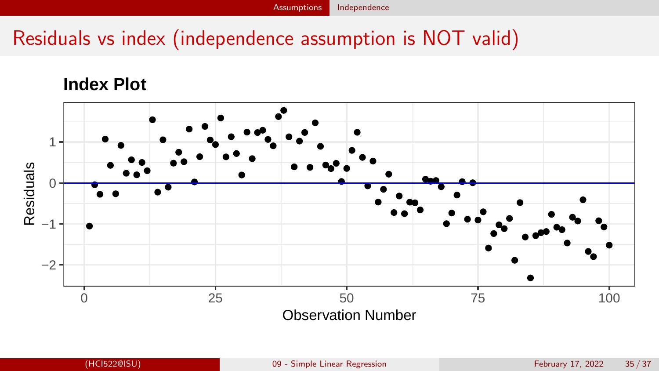# Residuals vs index (independence assumption is NOT valid)

#### **Index Plot**

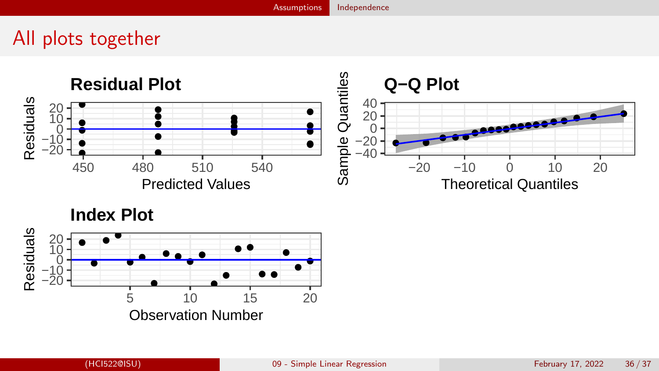# All plots together



**Index Plot**